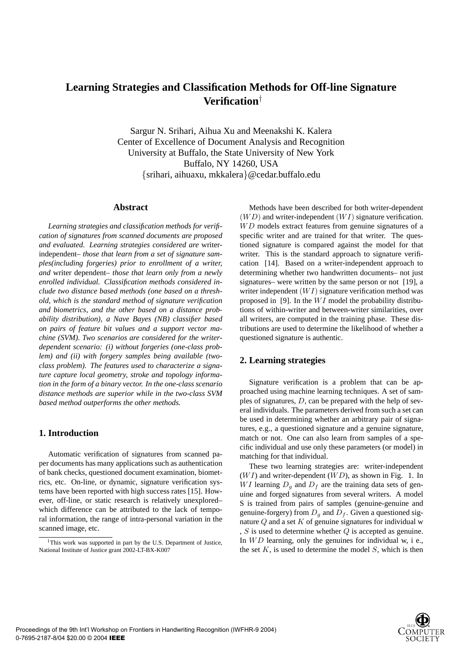# **Learning Strategies and Classification Methods for Off-line Signature Verification**†

Sargur N. Srihari, Aihua Xu and Meenakshi K. Kalera Center of Excellence of Document Analysis and Recognition University at Buffalo, the State University of New York Buffalo, NY 14260, USA {srihari, aihuaxu, mkkalera}@cedar.buffalo.edu

### **Abstract**

*Learning strategies and classification methods for verification of signatures from scanned documents are proposed and evaluated. Learning strategies considered are* writerindependent*– those that learn from a set of signature samples(including forgeries) prior to enrollment of a writer, and* writer dependent*– those that learn only from a newly enrolled individual. Classification methods considered include two distance based methods (one based on a threshold, which is the standard method of signature verification and biometrics, and the other based on a distance probability distribution), a Nave Bayes (NB) classifier based on pairs of feature bit values and a support vector machine (SVM). Two scenarios are considered for the writerdependent scenario: (i) without forgeries (one-class problem) and (ii) with forgery samples being available (twoclass problem). The features used to characterize a signature capture local geometry, stroke and topology information in the form of a binary vector. In the one-class scenario distance methods are superior while in the two-class SVM based method outperforms the other methods.*

### **1. Introduction**

Automatic verification of signatures from scanned paper documents has many applications such as authentication of bank checks, questioned document examination, biometrics, etc. On-line, or dynamic, signature verification systems have been reported with high success rates [15]. However, off-line, or static research is relatively unexplored– which difference can be attributed to the lack of temporal information, the range of intra-personal variation in the scanned image, etc.

Methods have been described for both writer-dependent  $(WD)$  and writer-independent  $(WI)$  signature verification.  $WD$  models extract features from genuine signatures of a specific writer and are trained for that writer. The questioned signature is compared against the model for that writer. This is the standard approach to signature verification [14]. Based on a writer-independent approach to determining whether two handwritten documents– not just signatures– were written by the same person or not [19], a writer independent  $(W I)$  signature verification method was proposed in [9]. In the  $WI$  model the probability distributions of within-writer and between-writer similarities, over all writers, are computed in the training phase. These distributions are used to determine the likelihood of whether a questioned signature is authentic.

# **2. Learning strategies**

Signature verification is a problem that can be approached using machine learning techniques. A set of samples of signatures,  $D$ , can be prepared with the help of several individuals. The parameters derived from such a set can be used in determining whether an arbitrary pair of signatures, e.g., a questioned signature and a genuine signature, match or not. One can also learn from samples of a specific individual and use only these parameters (or model) in matching for that individual.

These two learning strategies are: writer-independent  $(W I)$  and writer-dependent  $(W D)$ , as shown in Fig. 1. In WI learning  $D_q$  and  $D_f$  are the training data sets of genuine and forged signatures from several writers. A model S is trained from pairs of samples (genuine-genuine and genuine-forgery) from  $D<sub>q</sub>$  and  $D<sub>f</sub>$ . Given a questioned signature  $Q$  and a set  $K$  of genuine signatures for individual w ,  $S$  is used to determine whether  $Q$  is accepted as genuine. In  $WD$  learning, only the genuines for individual w, i e., the set  $K$ , is used to determine the model  $S$ , which is then



 $1$ This work was supported in part by the U.S. Department of Justice, National Institute of Justice grant 2002-LT-BX-K007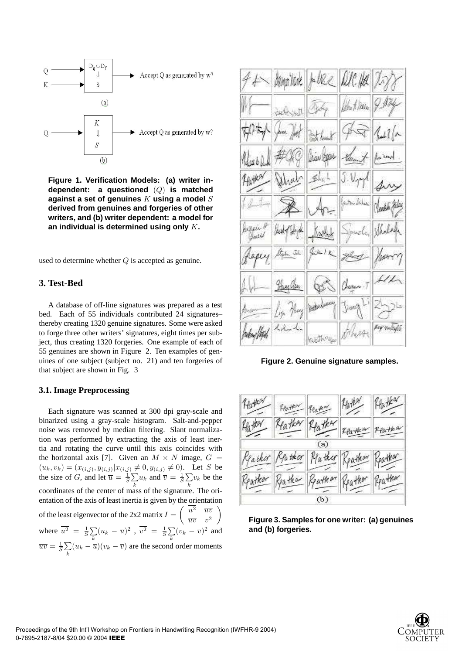

**Figure 1. Verification Models: (a) writer independent: a questioned** (Q) **is matched against a set of genuines** K **using a model** S **derived from genuines and forgeries of other writers, and (b) writer dependent: a model for an individual is determined using only** K**.**

used to determine whether  $Q$  is accepted as genuine.

# **3. Test-Bed**

A database of off-line signatures was prepared as a test bed. Each of 55 individuals contributed 24 signatures– thereby creating 1320 genuine signatures. Some were asked to forge three other writers' signatures, eight times per subject, thus creating 1320 forgeries. One example of each of 55 genuines are shown in Figure 2. Ten examples of genuines of one subject (subject no. 21) and ten forgeries of that subject are shown in Fig. 3

# **3.1. Image Preprocessing**

Each signature was scanned at 300 dpi gray-scale and binarized using a gray-scale histogram. Salt-and-pepper noise was removed by median filtering. Slant normalization was performed by extracting the axis of least inertia and rotating the curve until this axis coincides with the horizontal axis [7]. Given an  $M \times N$  image,  $G =$  $(u_k, v_k) = (x_{(i,j)}, y_{(i,j)} | x_{(i,j)} \neq 0, y_{(i,j)} \neq 0).$  Let S be the size of G, and let  $\overline{u} = \frac{1}{S} \sum_{i=1}^{S}$  $\sum_{k} u_k$  and  $\overline{v} = \frac{1}{S} \sum_{k}$  $\sum_k v_k$  be the coordinates of the center of mass of the signature. The orientation of the axis of least inertia is given by the orientation of the least eigenvector of the 2x2 matrix  $I = \begin{pmatrix} u^2 & \frac{\overline{uv}}{\overline{v}^2} \\ 0 & \frac{\overline{uv}}{\overline{v}^2} \end{pmatrix}$  $\overline{uv}$   $v^2$  $\setminus$ where  $\overline{u^2} = \frac{1}{S} \sum$  $\sum\limits_k (u_k - \overline{u})^2$  ,  $\overline{v^2}$  =  $\frac{1}{S}\sum\limits_k$  $\sum_{k} (v_k - \overline{v})^2$  and  $\overline{uv} = \frac{1}{S} \sum$  $\sum_{k} (u_k - \overline{u})(v_k - \overline{v})$  are the second order moments



**Figure 2. Genuine signature samples.**



**Figure 3. Samples for one writer: (a) genuines and (b) forgeries.**

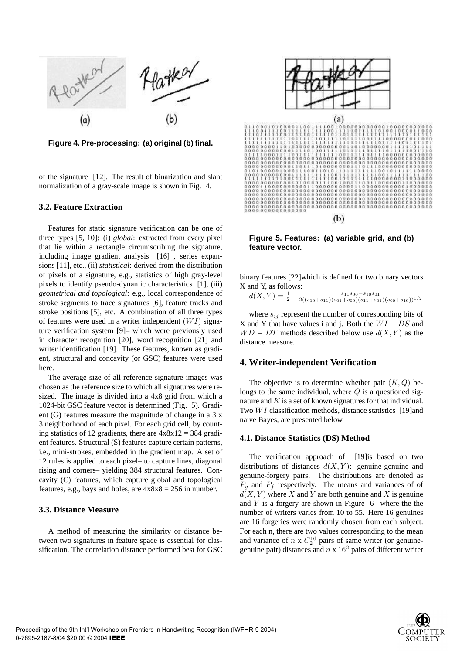

**Figure 4. Pre-processing: (a) original (b) final.**

of the signature [12]. The result of binarization and slant normalization of a gray-scale image is shown in Fig. 4.

#### **3.2. Feature Extraction**

Features for static signature verification can be one of three types [5, 10]: (i) *global*: extracted from every pixel that lie within a rectangle circumscribing the signature, including image gradient analysis [16] , series expansions [11], etc., (ii) *statistical*: derived from the distribution of pixels of a signature, e.g., statistics of high gray-level pixels to identify pseudo-dynamic characteristics [1], (iii) *geometrical and topological*: e.g., local correspondence of stroke segments to trace signatures [6], feature tracks and stroke positions [5], etc. A combination of all three types of features were used in a writer independent  $(W I)$  signature verification system [9]– which were previously used in character recognition [20], word recognition [21] and writer identification [19]. These features, known as gradient, structural and concavity (or GSC) features were used here.

The average size of all reference signature images was chosen as the reference size to which all signatures were resized. The image is divided into a 4x8 grid from which a 1024-bit GSC feature vector is determined (Fig. 5). Gradient (G) features measure the magnitude of change in a 3 x 3 neighborhood of each pixel. For each grid cell, by counting statistics of 12 gradients, there are  $4 \times 8 \times 12 = 384$  gradient features. Structural (S) features capture certain patterns, i.e., mini-strokes, embedded in the gradient map. A set of 12 rules is applied to each pixel– to capture lines, diagonal rising and corners– yielding 384 structural features. Concavity (C) features, which capture global and topological features, e.g., bays and holes, are  $4x8x8 = 256$  in number.

#### **3.3. Distance Measure**

A method of measuring the similarity or distance between two signatures in feature space is essential for classification. The correlation distance performed best for GSC



**Figure 5. Features: (a) variable grid, and (b) feature vector.**

binary features [22]which is defined for two binary vectors X and Y, as follows:

 $d(X,Y) = \frac{1}{2} - \frac{s_{11}s_{00} - s_{10}s_{01}}{2((s_{10} + s_{11})(s_{01} + s_{00})(s_{11} + s_{01})(s_{00} + s_{10}))^{1/2}}$ 

where  $s_{ij}$  represent the number of corresponding bits of X and Y that have values i and j. Both the  $WI - DS$  and  $WD - DT$  methods described below use  $d(X, Y)$  as the distance measure.

# **4. Writer-independent Verification**

The objective is to determine whether pair  $(K, Q)$  belongs to the same individual, where  $Q$  is a questioned signature and  $K$  is a set of known signatures for that individual. Two  $WI$  classification methods, distance statistics [19]and naive Bayes, are presented below.

# **4.1. Distance Statistics (DS) Method**

The verification approach of [19]is based on two distributions of distances  $d(X, Y)$ : genuine-genuine and genuine-forgery pairs. The distributions are denoted as  $P_q$  and  $P_f$  respectively. The means and variances of of  $d(X, Y)$  where X and Y are both genuine and X is genuine and  $Y$  is a forgery are shown in Figure  $6-$  where the the number of writers varies from 10 to 55. Here 16 genuines are 16 forgeries were randomly chosen from each subject. For each n, there are two values corresponding to the mean and variance of  $n \times C_2^{16}$  pairs of same writer (or genuinegenuine pair) distances and  $n \times 16^2$  pairs of different writer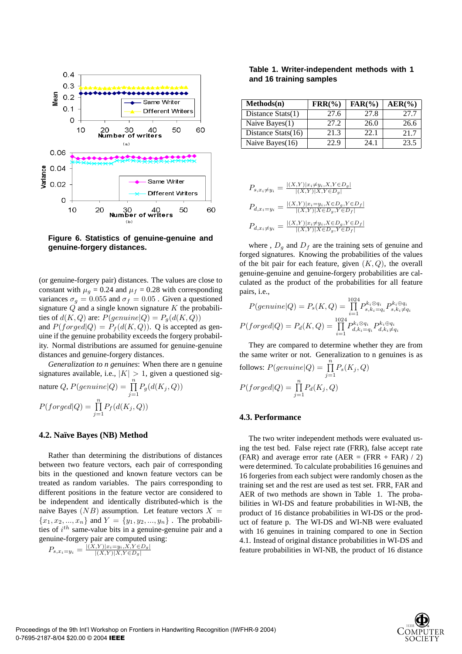

**Figure 6. Statistics of genuine-genuine and genuine-forgery distances.**

(or genuine-forgery pair) distances. The values are close to constant with  $\mu_g = 0.24$  and  $\mu_f = 0.28$  with corresponding variances  $\sigma_g = 0.055$  and  $\sigma_f = 0.05$ . Given a questioned signature  $Q$  and a single known signature  $K$  the probabilities of  $d(K, Q)$  are:  $P(genuine|Q) = P<sub>g</sub>(d(K, Q))$ and  $P(forged|Q) = P_f(d(K,Q))$ . Q is accepted as genuine if the genuine probability exceeds the forgery probability. Normal distributions are assumed for genuine-genuine distances and genuine-forgery distances.

*Generalization to n genuines*: When there are n genuine signatures available, i.e.,  $|K| > 1$ , given a questioned signature Q,  $P(genuine|Q) = \prod_{i=1}^{n} P_g(d(K_i, Q))$ 

$$
P(forged|Q) = \prod_{j=1}^{n} P_f(d(K_j, Q))
$$

#### **4.2. Naïve Bayes (NB) Method**

Rather than determining the distributions of distances between two feature vectors, each pair of corresponding bits in the questioned and known feature vectors can be treated as random variables. The pairs corresponding to different positions in the feature vector are considered to be independent and identically distributed-which is the naive Bayes  $(NB)$  assumption. Let feature vectors  $X =$  ${x_1, x_2, ..., x_n}$  and  $Y = {y_1, y_2, ..., y_n}$ . The probabilities of  $i^{th}$  same-value bits in a genuine-genuine pair and a genuine-forgery pair are computed using:

$$
P_{s,x_i=y_i} = \frac{|(X,Y)|x_i=y_i, X, Y \in D_g|}{|(X,Y)|X, Y \in D_g|}
$$

| Table 1. Writer-independent methods with 1 |  |  |
|--------------------------------------------|--|--|
| and 16 training samples                    |  |  |

| Methods(n)            | $\text{FRR}(\% )$ | $FAR(\%)$ | $AER(\%)$ |
|-----------------------|-------------------|-----------|-----------|
| Distance $Stats(1)$   | 27.6              | 27.8      | 27.7      |
| Naive Bayes(1)        | 27.2              | 26.0      | 26.6      |
| Distance Stats $(16)$ | 21.3              | 22.1      | 21.7      |
| Naive Bayes(16)       | 22.9              | 24.1      | 23.5      |

$$
P_{s,x_i \neq y_i} = \frac{|(X,Y)|x_i \neq y_i, X, Y \in D_g|}{|(X,Y)|X, Y \in D_g|}
$$
  
\n
$$
P_{d,x_i = y_i} = \frac{|(X,Y)|x_i = y_i, X \in D_g, Y \in D_f|}{|(X,Y)|X \in D_g, Y \in D_f|}
$$
  
\n
$$
P_{d,x_i \neq y_i} = \frac{|(X,Y)|x_i \neq y_i, X \in D_g, Y \in D_f|}{|(X,Y)|X \in D_g, Y \in D_f|}
$$

where ,  $D_q$  and  $D_f$  are the training sets of genuine and forged signatures. Knowing the probabilities of the values of the bit pair for each feature, given  $(K, Q)$ , the overall genuine-genuine and genuine-forgery probabilities are calculated as the product of the probabilities for all feature pairs, i.e.,

$$
P(genuine|Q) = P_s(K,Q) = \prod_{i=1}^{1024} P_{s,k_i=q_i}^{k_i \otimes q_i} P_{s,k_i \neq q_i}^{k_i \otimes q_i}
$$

$$
P(forged|Q) = P_d(K,Q) = \prod_{i=1}^{1024} P_{d,k_i=q_i}^{k_i \otimes q_i} P_{d,k_i \neq q_i}^{k_i \oplus q_i}
$$

They are compared to determine whether they are from the same writer or not. Generalization to n genuines is as follows:  $P(genuine|Q) = \prod_{n=1}^{n}$  $\prod_{j=1} P_s(K_j,Q)$  $P(forged|Q) = \prod_{n=1}^{n}$  $\prod_{j=1} P_d(K_j, Q)$ 

# **4.3. Performance**

The two writer independent methods were evaluated using the test bed. False reject rate (FRR), false accept rate (FAR) and average error rate (AER = (FRR + FAR)  $\ell$  2) were determined. To calculate probabilities 16 genuines and 16 forgeries from each subject were randomly chosen as the training set and the rest are used as test set. FRR, FAR and AER of two methods are shown in Table 1. The probabilities in WI-DS and feature probabilities in WI-NB, the product of 16 distance probabilities in WI-DS or the product of feature p. The WI-DS and WI-NB were evaluated with 16 genuines in training compared to one in Section 4.1. Instead of original distance probabilities in WI-DS and feature probabilities in WI-NB, the product of 16 distance

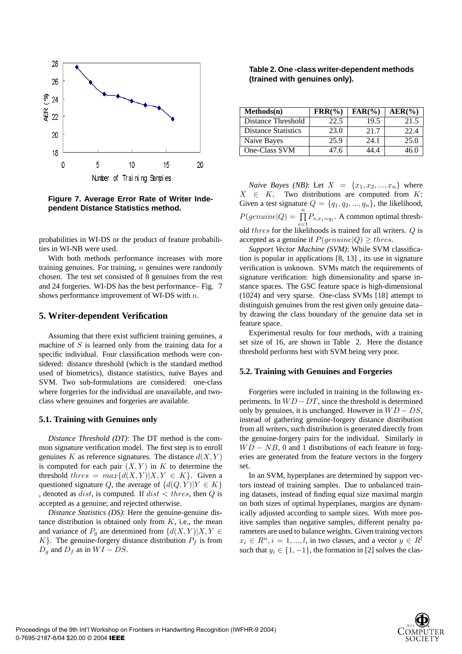

**Figure 7. Average Error Rate of Writer Independent Distance Statistics method.**

probabilities in WI-DS or the product of feature probabilities in WI-NB were used.

With both methods performance increases with more training genuines. For training,  $n$  genuines were randomly chosen. The test set consisted of 8 genuines from the rest and 24 forgeries. WI-DS has the best performance– Fig. 7 shows performance improvement of WI-DS with n.

# **5. Writer-dependent Verification**

Assuming that there exist sufficient training genuines, a machine of  $S$  is learned only from the training data for a specific individual. Four classification methods were considered: distance threshold (which is the standard method used of biometrics), distance statistics, naive Bayes and SVM. Two sub-formulations are considered: one-class where forgeries for the individual are unavailable, and twoclass where genuines and forgeries are available.

### **5.1. Training with Genuines only**

*Distance Threshold (DT)*: The DT method is the common signature verification model. The first step is to enroll genuines K as reference signatures. The distance  $d(X, Y)$ is computed for each pair  $(X, Y)$  in K to determine the threshold thres =  $max{d(X,Y)|X,Y \in K}$ . Given a questioned signature Q, the average of  $\{d(Q, Y)|Y \in K\}$ , denoted as *dist*, is computed. If  $dist < thres$ , then  $Q$  is accepted as a genuine; and rejected otherwise.

*Distance Statistics (DS)*: Here the genuine-genuine distance distribution is obtained only from  $K$ , i.e., the mean and variance of  $P_q$  are determined from  $\{d(X,Y)|X,Y\in$  $K$ . The genuine-forgery distance distribution  $P_f$  is from  $D_q$  and  $D_f$  as in  $WI - DS$ .

# **Table 2. One -class writer-dependent methods (trained with genuines only).**

| $Methods(n)$               | $\text{FRR}(\% )$ | $FAR(\% )$ | $AER(\%)$ |
|----------------------------|-------------------|------------|-----------|
| Distance Threshold         | 22.5              | 19.5       | 21.5      |
| <b>Distance Statistics</b> | 23.0              | 21.7       | 22.4      |
| Naive Bayes                | 25.9              | 24.1       | 25.0      |
| One-Class SVM              | 47 6              | 44 4       | 46 ()     |

*Naive Bayes (NB)*: Let  $X = \{x_1, x_2, ..., x_n\}$  where  $X \in K$ . Two distributions are computed from K: Given a test signature  $Q = \{q_1, q_2, ..., q_n\}$ , the likelihood,  $P(genuine|Q) = \prod_{i=1}^{n} P_{s,x_i=q_i}$ . A common optimal threshold *thres* for the likelihoods is trained for all writers. Q is accepted as a genuine if  $P(genuine|Q) \geq thres$ .

*Support Vector Machine (SVM)*: While SVM classification is popular in applications [8, 13] , its use in signature verification is unknown. SVMs match the requirements of signature verification: high dimensionality and sparse instance spaces. The GSC feature space is high-dimensional (1024) and very sparse. One-class SVMs [18] attempt to distinguish genuines from the rest given only genuine data– by drawing the class boundary of the genuine data set in feature space.

Experimental results for four methods, with a training set size of 16, are shown in Table 2. Here the distance threshold performs best with SVM being very poor.

#### **5.2. Training with Genuines and Forgeries**

Forgeries were included in training in the following experiments. In  $WD - DT$ , since the threshold is determined only by genuines, it is unchanged. However in  $WD - DS$ , instead of gathering genuine-forgery distance distribution from all writers, such distribution is generated directly from the genuine-forgery pairs for the individual. Similarly in  $WD - NB$ , 0 and 1 distributions of each feature in forgeries are generated from the feature vectors in the forgery set.

In an SVM, hyperplanes are determined by support vectors instead of training samples. Due to unbalanced training datasets, instead of finding equal size maximal margin on both sizes of optimal hyperplanes, margins are dynamically adjusted according to sample sizes. With more positive samples than negative samples, different penalty parameters are used to balance weights. Given training vectors  $x_i \in R^n, i = 1, ..., l$ , in two classes, and a vector  $y \in R^l$ such that  $y_i \in \{1, -1\}$ , the formation in [2] solves the clas-